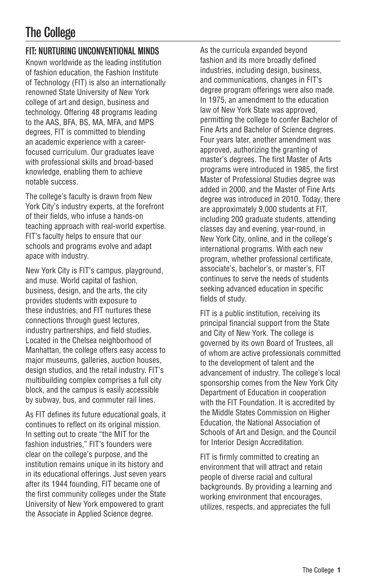## The College

## FIT: NURTURING UNCONVENTIONAL MINDS

Known worldwide as the leading institution of fashion education, the Fashion Institute of Technology (FIT) is also an internationally renowned State University of New York college of art and design, business and technology. Offering 48 programs leading to the AAS, BFA, BS, MA, MFA, and MPS degrees, FIT is committed to blending an academic experience with a careerfocused curriculum. Our graduates leave with professional skills and broad-based knowledge, enabling them to achieve notable success.

The college's faculty is drawn from New York City's industry experts, at the forefront of their fields, who infuse a hands-on teaching approach with real-world expertise. FIT's faculty helps to ensure that our schools and programs evolve and adapt apace with industry.

New York City is FIT's campus, playground, and muse. World capital of fashion, business, design, and the arts, the city provides students with exposure to these industries, and FIT nurtures these connections through guest lectures, industry partnerships, and field studies. Located in the Chelsea neighborhood of Manhattan, the college offers easy access to major museums, galleries, auction houses, design studios, and the retail industry. FIT's multibuilding complex comprises a full city block, and the campus is easily accessible by subway, bus, and commuter rail lines.

As FIT defines its future educational goals, it continues to reflect on its original mission. In setting out to create "the MIT for the fashion industries," FIT's founders were clear on the college's purpose, and the institution remains unique in its history and in its educational offerings. Just seven years after its 1944 founding, FIT became one of the first community colleges under the State University of New York empowered to grant the Associate in Applied Science degree.

As the curricula expanded beyond fashion and its more broadly defined industries, including design, business, and communications, changes in FIT's degree program offerings were also made. In 1975, an amendment to the education law of New York State was approved, permitting the college to confer Bachelor of Fine Arts and Bachelor of Science degrees. Four years later, another amendment was approved, authorizing the granting of master's degrees. The first Master of Arts programs were introduced in 1985, the first Master of Professional Studies degree was added in 2000, and the Master of Fine Arts degree was introduced in 2010. Today, there are approximately 9,000 students at FIT, including 200 graduate students, attending classes day and evening, year-round, in New York City, online, and in the college's international programs. With each new program, whether professional certificate, associate's, bachelor's, or master's, FIT continues to serve the needs of students seeking advanced education in specific fields of study.

FIT is a public institution, receiving its principal financial support from the State and City of New York. The college is governed by its own Board of Trustees, all of whom are active professionals committed to the development of talent and the advancement of industry. The college's local sponsorship comes from the New York City Department of Education in cooperation with the FIT Foundation. It is accredited by the [Middle States Commission on Higher](https://www.msche.org/) [Education,](https://www.msche.org/) the [National Association of](https://nasad.arts-accredit.org/) [Schools of Art and Design,](https://nasad.arts-accredit.org/) and the [Council](https://www.accredit-id.org/) [for Interior Design Accreditation.](https://www.accredit-id.org/)

FIT is firmly committed to creating an environment that will attract and retain people of diverse racial and cultural backgrounds. By providing a learning and working environment that encourages, utilizes, respects, and appreciates the full